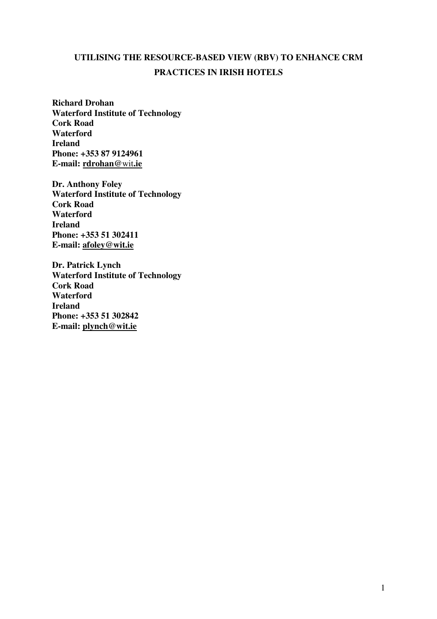# **UTILISING THE RESOURCE-BASED VIEW (RBV) TO ENHANCE CRM PRACTICES IN IRISH HOTELS**

**Richard Drohan Waterford Institute of Technology Cork Road Waterford Ireland Phone: +353 87 9124961 E-mail: rdrohan@**wit**.ie**

**Dr. Anthony Foley Waterford Institute of Technology Cork Road Waterford Ireland Phone: +353 51 302411 E-mail: afoley@wit.ie**

**Dr. Patrick Lynch Waterford Institute of Technology Cork Road Waterford Ireland Phone: +353 51 302842 E-mail: plynch@wit.ie**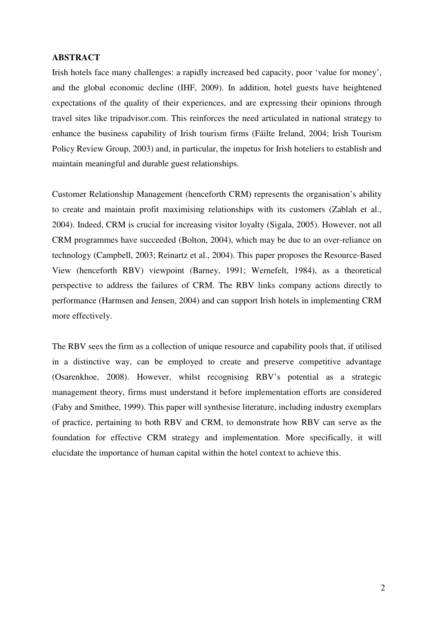## **ABSTRACT**

Irish hotels face many challenges: a rapidly increased bed capacity, poor 'value for money', and the global economic decline (IHF, 2009). In addition, hotel guests have heightened expectations of the quality of their experiences, and are expressing their opinions through travel sites like tripadvisor.com. This reinforces the need articulated in national strategy to enhance the business capability of Irish tourism firms (Fáilte Ireland, 2004; Irish Tourism Policy Review Group, 2003) and, in particular, the impetus for Irish hoteliers to establish and maintain meaningful and durable guest relationships.

Customer Relationship Management (henceforth CRM) represents the organisation's ability to create and maintain profit maximising relationships with its customers (Zablah et al., 2004). Indeed, CRM is crucial for increasing visitor loyalty (Sigala, 2005). However, not all CRM programmes have succeeded (Bolton, 2004), which may be due to an over-reliance on technology (Campbell, 2003; Reinartz et al., 2004). This paper proposes the Resource-Based View (henceforth RBV) viewpoint (Barney, 1991; Wernefelt, 1984), as a theoretical perspective to address the failures of CRM. The RBV links company actions directly to performance (Harmsen and Jensen, 2004) and can support Irish hotels in implementing CRM more effectively.

The RBV sees the firm as a collection of unique resource and capability pools that, if utilised in a distinctive way, can be employed to create and preserve competitive advantage (Osarenkhoe, 2008). However, whilst recognising RBV's potential as a strategic management theory, firms must understand it before implementation efforts are considered (Fahy and Smithee, 1999). This paper will synthesise literature, including industry exemplars of practice, pertaining to both RBV and CRM, to demonstrate how RBV can serve as the foundation for effective CRM strategy and implementation. More specifically, it will elucidate the importance of human capital within the hotel context to achieve this.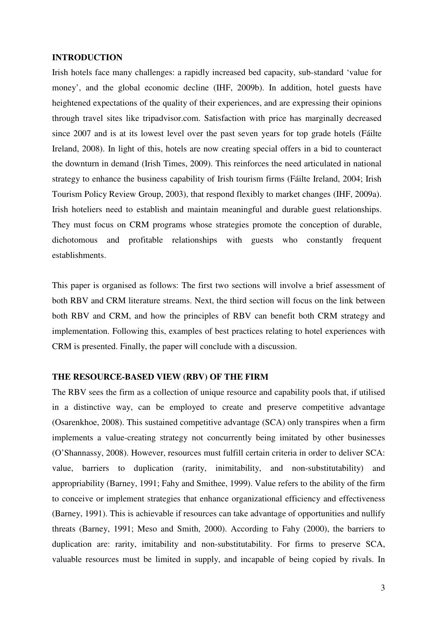#### **INTRODUCTION**

Irish hotels face many challenges: a rapidly increased bed capacity, sub-standard 'value for money', and the global economic decline (IHF, 2009b). In addition, hotel guests have heightened expectations of the quality of their experiences, and are expressing their opinions through travel sites like tripadvisor.com. Satisfaction with price has marginally decreased since 2007 and is at its lowest level over the past seven years for top grade hotels (Fáilte Ireland, 2008). In light of this, hotels are now creating special offers in a bid to counteract the downturn in demand (Irish Times, 2009). This reinforces the need articulated in national strategy to enhance the business capability of Irish tourism firms (Fáilte Ireland, 2004; Irish Tourism Policy Review Group, 2003), that respond flexibly to market changes (IHF, 2009a). Irish hoteliers need to establish and maintain meaningful and durable guest relationships. They must focus on CRM programs whose strategies promote the conception of durable, dichotomous and profitable relationships with guests who constantly frequent establishments.

This paper is organised as follows: The first two sections will involve a brief assessment of both RBV and CRM literature streams. Next, the third section will focus on the link between both RBV and CRM, and how the principles of RBV can benefit both CRM strategy and implementation. Following this, examples of best practices relating to hotel experiences with CRM is presented. Finally, the paper will conclude with a discussion.

## **THE RESOURCE-BASED VIEW (RBV) OF THE FIRM**

The RBV sees the firm as a collection of unique resource and capability pools that, if utilised in a distinctive way, can be employed to create and preserve competitive advantage (Osarenkhoe, 2008). This sustained competitive advantage (SCA) only transpires when a firm implements a value-creating strategy not concurrently being imitated by other businesses (O'Shannassy, 2008). However, resources must fulfill certain criteria in order to deliver SCA: value, barriers to duplication (rarity, inimitability, and non-substitutability) and appropriability (Barney, 1991; Fahy and Smithee, 1999). Value refers to the ability of the firm to conceive or implement strategies that enhance organizational efficiency and effectiveness (Barney, 1991). This is achievable if resources can take advantage of opportunities and nullify threats (Barney, 1991; Meso and Smith, 2000). According to Fahy (2000), the barriers to duplication are: rarity, imitability and non-substitutability. For firms to preserve SCA, valuable resources must be limited in supply, and incapable of being copied by rivals. In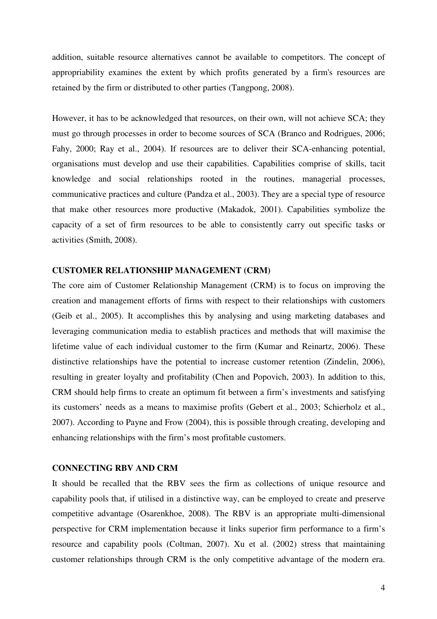addition, suitable resource alternatives cannot be available to competitors. The concept of appropriability examines the extent by which profits generated by a firm's resources are retained by the firm or distributed to other parties (Tangpong, 2008).

However, it has to be acknowledged that resources, on their own, will not achieve SCA; they must go through processes in order to become sources of SCA (Branco and Rodrigues, 2006; Fahy, 2000; Ray et al., 2004). If resources are to deliver their SCA-enhancing potential, organisations must develop and use their capabilities. Capabilities comprise of skills, tacit knowledge and social relationships rooted in the routines, managerial processes, communicative practices and culture (Pandza et al., 2003). They are a special type of resource that make other resources more productive (Makadok, 2001). Capabilities symbolize the capacity of a set of firm resources to be able to consistently carry out specific tasks or activities (Smith, 2008).

#### **CUSTOMER RELATIONSHIP MANAGEMENT (CRM)**

The core aim of Customer Relationship Management (CRM) is to focus on improving the creation and management efforts of firms with respect to their relationships with customers (Geib et al., 2005). It accomplishes this by analysing and using marketing databases and leveraging communication media to establish practices and methods that will maximise the lifetime value of each individual customer to the firm (Kumar and Reinartz, 2006). These distinctive relationships have the potential to increase customer retention (Zindelin, 2006), resulting in greater loyalty and profitability (Chen and Popovich, 2003). In addition to this, CRM should help firms to create an optimum fit between a firm's investments and satisfying its customers' needs as a means to maximise profits (Gebert et al., 2003; Schierholz et al., 2007). According to Payne and Frow (2004), this is possible through creating, developing and enhancing relationships with the firm's most profitable customers.

#### **CONNECTING RBV AND CRM**

It should be recalled that the RBV sees the firm as collections of unique resource and capability pools that, if utilised in a distinctive way, can be employed to create and preserve competitive advantage (Osarenkhoe, 2008). The RBV is an appropriate multi-dimensional perspective for CRM implementation because it links superior firm performance to a firm's resource and capability pools (Coltman, 2007). Xu et al. (2002) stress that maintaining customer relationships through CRM is the only competitive advantage of the modern era.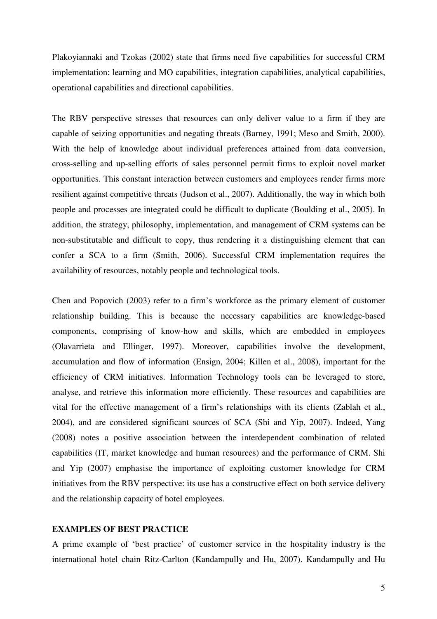Plakoyiannaki and Tzokas (2002) state that firms need five capabilities for successful CRM implementation: learning and MO capabilities, integration capabilities, analytical capabilities, operational capabilities and directional capabilities.

The RBV perspective stresses that resources can only deliver value to a firm if they are capable of seizing opportunities and negating threats (Barney, 1991; Meso and Smith, 2000). With the help of knowledge about individual preferences attained from data conversion, cross-selling and up-selling efforts of sales personnel permit firms to exploit novel market opportunities. This constant interaction between customers and employees render firms more resilient against competitive threats (Judson et al., 2007). Additionally, the way in which both people and processes are integrated could be difficult to duplicate (Boulding et al., 2005). In addition, the strategy, philosophy, implementation, and management of CRM systems can be non-substitutable and difficult to copy, thus rendering it a distinguishing element that can confer a SCA to a firm (Smith, 2006). Successful CRM implementation requires the availability of resources, notably people and technological tools.

Chen and Popovich (2003) refer to a firm's workforce as the primary element of customer relationship building. This is because the necessary capabilities are knowledge-based components, comprising of know-how and skills, which are embedded in employees (Olavarrieta and Ellinger, 1997). Moreover, capabilities involve the development, accumulation and flow of information (Ensign, 2004; Killen et al., 2008), important for the efficiency of CRM initiatives. Information Technology tools can be leveraged to store, analyse, and retrieve this information more efficiently. These resources and capabilities are vital for the effective management of a firm's relationships with its clients (Zablah et al., 2004), and are considered significant sources of SCA (Shi and Yip, 2007). Indeed, Yang (2008) notes a positive association between the interdependent combination of related capabilities (IT, market knowledge and human resources) and the performance of CRM. Shi and Yip (2007) emphasise the importance of exploiting customer knowledge for CRM initiatives from the RBV perspective: its use has a constructive effect on both service delivery and the relationship capacity of hotel employees.

# **EXAMPLES OF BEST PRACTICE**

A prime example of 'best practice' of customer service in the hospitality industry is the international hotel chain Ritz-Carlton (Kandampully and Hu, 2007). Kandampully and Hu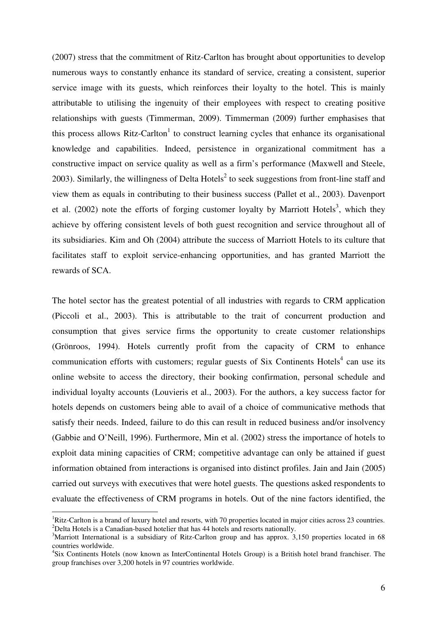(2007) stress that the commitment of Ritz-Carlton has brought about opportunities to develop numerous ways to constantly enhance its standard of service, creating a consistent, superior service image with its guests, which reinforces their loyalty to the hotel. This is mainly attributable to utilising the ingenuity of their employees with respect to creating positive relationships with guests (Timmerman, 2009). Timmerman (2009) further emphasises that this process allows Ritz-Carlton<sup>1</sup> to construct learning cycles that enhance its organisational knowledge and capabilities. Indeed, persistence in organizational commitment has a constructive impact on service quality as well as a firm's performance (Maxwell and Steele, 2003). Similarly, the willingness of Delta Hotels<sup>2</sup> to seek suggestions from front-line staff and view them as equals in contributing to their business success (Pallet et al., 2003). Davenport et al.  $(2002)$  note the efforts of forging customer loyalty by Marriott Hotels<sup>3</sup>, which they achieve by offering consistent levels of both guest recognition and service throughout all of its subsidiaries. Kim and Oh (2004) attribute the success of Marriott Hotels to its culture that facilitates staff to exploit service-enhancing opportunities, and has granted Marriott the rewards of SCA.

The hotel sector has the greatest potential of all industries with regards to CRM application (Piccoli et al., 2003). This is attributable to the trait of concurrent production and consumption that gives service firms the opportunity to create customer relationships (Grönroos, 1994). Hotels currently profit from the capacity of CRM to enhance communication efforts with customers; regular guests of Six Continents Hotels $4$  can use its online website to access the directory, their booking confirmation, personal schedule and individual loyalty accounts (Louvieris et al., 2003). For the authors, a key success factor for hotels depends on customers being able to avail of a choice of communicative methods that satisfy their needs. Indeed, failure to do this can result in reduced business and/or insolvency (Gabbie and O'Neill, 1996). Furthermore, Min et al. (2002) stress the importance of hotels to exploit data mining capacities of CRM; competitive advantage can only be attained if guest information obtained from interactions is organised into distinct profiles. Jain and Jain (2005) carried out surveys with executives that were hotel guests. The questions asked respondents to evaluate the effectiveness of CRM programs in hotels. Out of the nine factors identified, the

 $\overline{a}$ 

 ${}^{1}$ Ritz-Carlton is a brand of luxury hotel and resorts, with 70 properties located in major cities across 23 countries. <sup>2</sup>Delta Hotels is a Canadian-based hotelier that has 44 hotels and resorts nationally.

<sup>&</sup>lt;sup>3</sup>Marriott International is a subsidiary of Ritz-Carlton group and has approx. 3,150 properties located in 68 countries worldwide.

<sup>&</sup>lt;sup>4</sup>Six Continents Hotels (now known as InterContinental Hotels Group) is a British hotel brand franchiser. The group franchises over 3,200 hotels in 97 countries worldwide.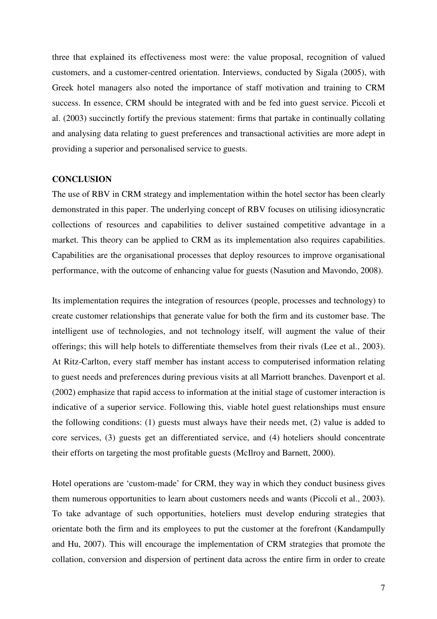three that explained its effectiveness most were: the value proposal, recognition of valued customers, and a customer-centred orientation. Interviews, conducted by Sigala (2005), with Greek hotel managers also noted the importance of staff motivation and training to CRM success. In essence, CRM should be integrated with and be fed into guest service. Piccoli et al. (2003) succinctly fortify the previous statement: firms that partake in continually collating and analysing data relating to guest preferences and transactional activities are more adept in providing a superior and personalised service to guests.

#### **CONCLUSION**

The use of RBV in CRM strategy and implementation within the hotel sector has been clearly demonstrated in this paper. The underlying concept of RBV focuses on utilising idiosyncratic collections of resources and capabilities to deliver sustained competitive advantage in a market. This theory can be applied to CRM as its implementation also requires capabilities. Capabilities are the organisational processes that deploy resources to improve organisational performance, with the outcome of enhancing value for guests (Nasution and Mavondo, 2008).

Its implementation requires the integration of resources (people, processes and technology) to create customer relationships that generate value for both the firm and its customer base. The intelligent use of technologies, and not technology itself, will augment the value of their offerings; this will help hotels to differentiate themselves from their rivals (Lee et al., 2003). At Ritz-Carlton, every staff member has instant access to computerised information relating to guest needs and preferences during previous visits at all Marriott branches. Davenport et al. (2002) emphasize that rapid access to information at the initial stage of customer interaction is indicative of a superior service. Following this, viable hotel guest relationships must ensure the following conditions: (1) guests must always have their needs met, (2) value is added to core services, (3) guests get an differentiated service, and (4) hoteliers should concentrate their efforts on targeting the most profitable guests (McIlroy and Barnett, 2000).

Hotel operations are 'custom-made' for CRM, they way in which they conduct business gives them numerous opportunities to learn about customers needs and wants (Piccoli et al., 2003). To take advantage of such opportunities, hoteliers must develop enduring strategies that orientate both the firm and its employees to put the customer at the forefront (Kandampully and Hu, 2007). This will encourage the implementation of CRM strategies that promote the collation, conversion and dispersion of pertinent data across the entire firm in order to create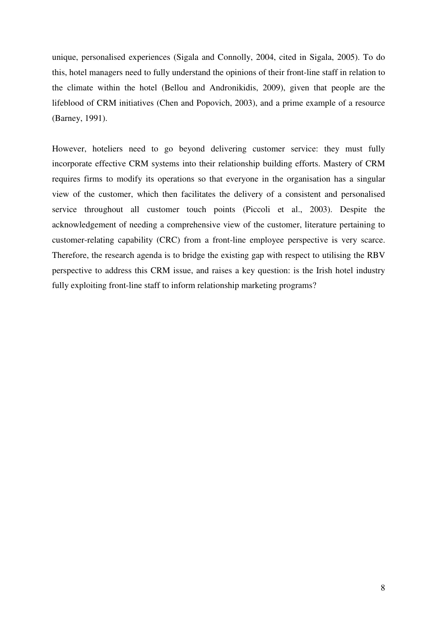unique, personalised experiences (Sigala and Connolly, 2004, cited in Sigala, 2005). To do this, hotel managers need to fully understand the opinions of their front-line staff in relation to the climate within the hotel (Bellou and Andronikidis, 2009), given that people are the lifeblood of CRM initiatives (Chen and Popovich, 2003), and a prime example of a resource (Barney, 1991).

However, hoteliers need to go beyond delivering customer service: they must fully incorporate effective CRM systems into their relationship building efforts. Mastery of CRM requires firms to modify its operations so that everyone in the organisation has a singular view of the customer, which then facilitates the delivery of a consistent and personalised service throughout all customer touch points (Piccoli et al., 2003). Despite the acknowledgement of needing a comprehensive view of the customer, literature pertaining to customer-relating capability (CRC) from a front-line employee perspective is very scarce. Therefore, the research agenda is to bridge the existing gap with respect to utilising the RBV perspective to address this CRM issue, and raises a key question: is the Irish hotel industry fully exploiting front-line staff to inform relationship marketing programs?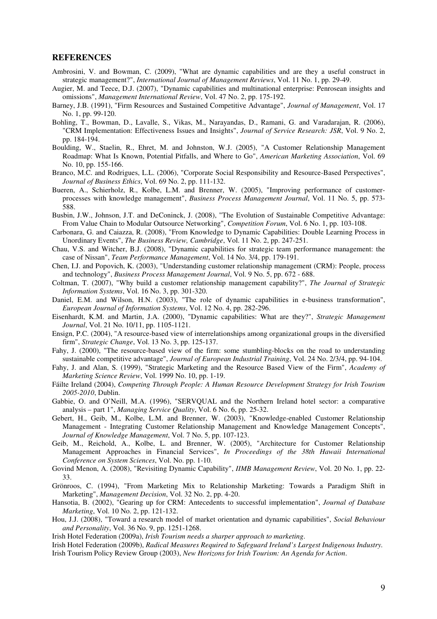#### **REFERENCES**

- Ambrosini, V. and Bowman, C. (2009), "What are dynamic capabilities and are they a useful construct in strategic management?", *International Journal of Management Reviews*, Vol. 11 No. 1, pp. 29-49.
- Augier, M. and Teece, D.J. (2007), "Dynamic capabilities and multinational enterprise: Penrosean insights and omissions", *Management International Review*, Vol. 47 No. 2, pp. 175-192.
- Barney, J.B. (1991), "Firm Resources and Sustained Competitive Advantage", *Journal of Management*, Vol. 17 No. 1, pp. 99-120.
- Bohling, T., Bowman, D., Lavalle, S., Vikas, M., Narayandas, D., Ramani, G. and Varadarajan, R. (2006), "CRM Implementation: Effectiveness Issues and Insights", *Journal of Service Research: JSR*, Vol. 9 No. 2, pp. 184-194.
- Boulding, W., Staelin, R., Ehret, M. and Johnston, W.J. (2005), "A Customer Relationship Management Roadmap: What Is Known, Potential Pitfalls, and Where to Go", *American Marketing Association*, Vol. 69 No. 10, pp. 155-166.
- Branco, M.C. and Rodrigues, L.L. (2006), "Corporate Social Responsibility and Resource-Based Perspectives", *Journal of Business Ethics*, Vol. 69 No. 2, pp. 111-132.
- Bueren, A., Schierholz, R., Kolbe, L.M. and Brenner, W. (2005), "Improving performance of customerprocesses with knowledge management", *Business Process Management Journal*, Vol. 11 No. 5, pp. 573- 588.
- Busbin, J.W., Johnson, J.T. and DeConinck, J. (2008), "The Evolution of Sustainable Competitive Advantage: From Value Chain to Modular Outsource Networking", *Competition Forum*, Vol. 6 No. 1, pp. 103-108.
- Carbonara, G. and Caiazza, R. (2008), "From Knowledge to Dynamic Capabilities: Double Learning Process in Unordinary Events", *The Business Review, Cambridge*, Vol. 11 No. 2, pp. 247-251.
- Chau, V.S. and Witcher, B.J. (2008), "Dynamic capabilities for strategic team performance management: the case of Nissan", *Team Performance Management*, Vol. 14 No. 3/4, pp. 179-191.
- Chen, I.J. and Popovich, K. (2003), "Understanding customer relationship management (CRM): People, process and technology", *Business Process Management Journal*, Vol. 9 No. 5, pp. 672 - 688.
- Coltman, T. (2007), "Why build a customer relationship management capability?", *The Journal of Strategic Information Systems*, Vol. 16 No. 3, pp. 301-320.
- Daniel, E.M. and Wilson, H.N. (2003), "The role of dynamic capabilities in e-business transformation", *European Journal of Information Systems*, Vol. 12 No. 4, pp. 282-296.
- Eisenhardt, K.M. and Martin, J.A. (2000), "Dynamic capabilities: What are they?", *Strategic Management Journal*, Vol. 21 No. 10/11, pp. 1105-1121.
- Ensign, P.C. (2004), "A resource-based view of interrelationships among organizational groups in the diversified firm", *Strategic Change*, Vol. 13 No. 3, pp. 125-137.
- Fahy, J. (2000), "The resource-based view of the firm: some stumbling-blocks on the road to understanding sustainable competitive advantage", *Journal of European Industrial Training*, Vol. 24 No. 2/3/4, pp. 94-104.
- Fahy, J. and Alan, S. (1999), "Strategic Marketing and the Resource Based View of the Firm", *Academy of Marketing Science Review*, Vol. 1999 No. 10, pp. 1-19.
- Fáilte Ireland (2004), *Competing Through People: A Human Resource Development Strategy for Irish Tourism 2005-2010*, Dublin.
- Gabbie, O. and O'Neill, M.A. (1996), "SERVQUAL and the Northern Ireland hotel sector: a comparative analysis – part 1", *Managing Service Quality*, Vol. 6 No. 6, pp. 25-32.
- Gebert, H., Geib, M., Kolbe, L.M. and Brenner, W. (2003), "Knowledge-enabled Customer Relationship Management - Integrating Customer Relationship Management and Knowledge Management Concepts", *Journal of Knowledge Management*, Vol. 7 No. 5, pp. 107-123.
- Geib, M., Reichold, A., Kolbe, L. and Brenner, W. (2005), "Architecture for Customer Relationship Management Approaches in Financial Services", *In Proceedings of the 38th Hawaii International Conference on System Sciences*, Vol. No. pp. 1-10.
- Govind Menon, A. (2008), "Revisiting Dynamic Capability", *IIMB Management Review*, Vol. 20 No. 1, pp. 22- 33.
- Grönroos, C. (1994), "From Marketing Mix to Relationship Marketing: Towards a Paradigm Shift in Marketing", *Management Decision*, Vol. 32 No. 2, pp. 4-20.
- Hansotia, B. (2002), "Gearing up for CRM: Antecedents to successful implementation", *Journal of Database Marketing*, Vol. 10 No. 2, pp. 121-132.
- Hou, J.J. (2008), "Toward a research model of market orientation and dynamic capabilities", *Social Behaviour and Personality*, Vol. 36 No. 9, pp. 1251-1268.
- Irish Hotel Federation (2009a), *Irish Tourism needs a sharper approach to marketing*.
- Irish Hotel Federation (2009b), *Radical Measures Required to Safeguard Ireland's Largest Indigenous Industry.* Irish Tourism Policy Review Group (2003), *New Horizons for Irish Tourism: An Agenda for Action*.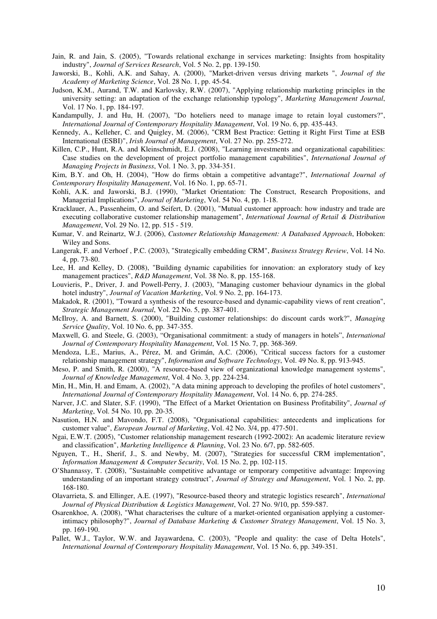Jain, R. and Jain, S. (2005), "Towards relational exchange in services marketing: Insights from hospitality industry", *Journal of Services Research*, Vol. 5 No. 2, pp. 139-150.

Jaworski, B., Kohli, A.K. and Sahay, A. (2000), "Market-driven versus driving markets ", *Journal of the Academy of Marketing Science*, Vol. 28 No. 1, pp. 45-54.

- Judson, K.M., Aurand, T.W. and Karlovsky, R.W. (2007), "Applying relationship marketing principles in the university setting: an adaptation of the exchange relationship typology", *Marketing Management Journal*, Vol. 17 No. 1, pp. 184-197.
- Kandampully, J. and Hu, H. (2007), "Do hoteliers need to manage image to retain loyal customers?", *International Journal of Contemporary Hospitality Management*, Vol. 19 No. 6, pp. 435-443.
- Kennedy, A., Kelleher, C. and Quigley, M. (2006), "CRM Best Practice: Getting it Right First Time at ESB International (ESBI)", *Irish Journal of Management*, Vol. 27 No. pp. 255-272.
- Killen, C.P., Hunt, R.A. and Kleinschmidt, E.J. (2008), "Learning investments and organizational capabilities: Case studies on the development of project portfolio management capabilities", *International Journal of Managing Projects in Business*, Vol. 1 No. 3, pp. 334-351.

Kim, B.Y. and Oh, H. (2004), "How do firms obtain a competitive advantage?", *International Journal of Contemporary Hospitality Management*, Vol. 16 No. 1, pp. 65-71.

- Kohli, A.K. and Jaworski, B.J. (1990), "Market Orientation: The Construct, Research Propositions, and Managerial Implications", *Journal of Marketing*, Vol. 54 No. 4, pp. 1-18.
- Kracklauer, A., Passenheim, O. and Seifert, D. (2001), "Mutual customer approach: how industry and trade are executing collaborative customer relationship management", *International Journal of Retail & Distribution Management*, Vol. 29 No. 12, pp. 515 - 519.
- Kumar, V. and Reinartz, W.J. (2006), *Customer Relationship Management: A Databased Approach*, Hoboken: Wiley and Sons.
- Langerak, F. and Verhoef , P.C. (2003), "Strategically embedding CRM", *Business Strategy Review*, Vol. 14 No. 4, pp. 73-80.
- Lee, H. and Kelley, D. (2008), "Building dynamic capabilities for innovation: an exploratory study of key management practices", *R&D Management*, Vol. 38 No. 8, pp. 155-168.
- Louvieris, P., Driver, J. and Powell-Perry, J. (2003), "Managing customer behaviour dynamics in the global hotel industry", *Journal of Vacation Marketing*, Vol. 9 No. 2, pp. 164-173.
- Makadok, R. (2001), "Toward a synthesis of the resource-based and dynamic-capability views of rent creation", *Strategic Management Journal*, Vol. 22 No. 5, pp. 387-401.
- McIlroy, A. and Barnett, S. (2000), "Building customer relationships: do discount cards work?", *Managing Service Quality*, Vol. 10 No. 6, pp. 347-355.
- Maxwell, G. and Steele, G. (2003), "Organisational commitment: a study of managers in hotels", *International Journal of Contemporary Hospitality Management*, Vol. 15 No. 7, pp. 368-369.
- Mendoza, L.E., Marius, A., Pérez, M. and Grimán, A.C. (2006), "Critical success factors for a customer relationship management strategy", *Information and Software Technology*, Vol. 49 No. 8, pp. 913-945.
- Meso, P. and Smith, R. (2000), "A resource-based view of organizational knowledge management systems", *Journal of Knowledge Management*, Vol. 4 No. 3, pp. 224-234.
- Min, H., Min, H. and Emam, A. (2002), "A data mining approach to developing the profiles of hotel customers", *International Journal of Contemporary Hospitality Management*, Vol. 14 No. 6, pp. 274-285.
- Narver, J.C. and Slater, S.F. (1990), "The Effect of a Market Orientation on Business Profitability", *Journal of Marketing*, Vol. 54 No. 10, pp. 20-35.
- Nasution, H.N. and Mavondo, F.T. (2008), "Organisational capabilities: antecedents and implications for customer value", *European Journal of Marketing*, Vol. 42 No. 3/4, pp. 477-501.
- Ngai, E.W.T. (2005), "Customer relationship management research (1992-2002): An academic literature review and classification", *Marketing Intelligence & Planning*, Vol. 23 No. 6/7, pp. 582-605.
- Nguyen, T., H., Sherif, J., S. and Newby, M. (2007), "Strategies for successful CRM implementation", *Information Management & Computer Security*, Vol. 15 No. 2, pp. 102-115.
- O'Shannassy, T. (2008), "Sustainable competitive advantage or temporary competitive advantage: Improving understanding of an important strategy construct", *Journal of Strategy and Management*, Vol. 1 No. 2, pp. 168-180.
- Olavarrieta, S. and Ellinger, A.E. (1997), "Resource-based theory and strategic logistics research", *International Journal of Physical Distribution & Logistics Management*, Vol. 27 No. 9/10, pp. 559-587.
- Osarenkhoe, A. (2008), "What characterises the culture of a market-oriented organisation applying a customerintimacy philosophy?", *Journal of Database Marketing & Customer Strategy Management*, Vol. 15 No. 3, pp. 169-190.
- Pallet, W.J., Taylor, W.W. and Jayawardena, C. (2003), "People and quality: the case of Delta Hotels", *International Journal of Contemporary Hospitality Management*, Vol. 15 No. 6, pp. 349-351.